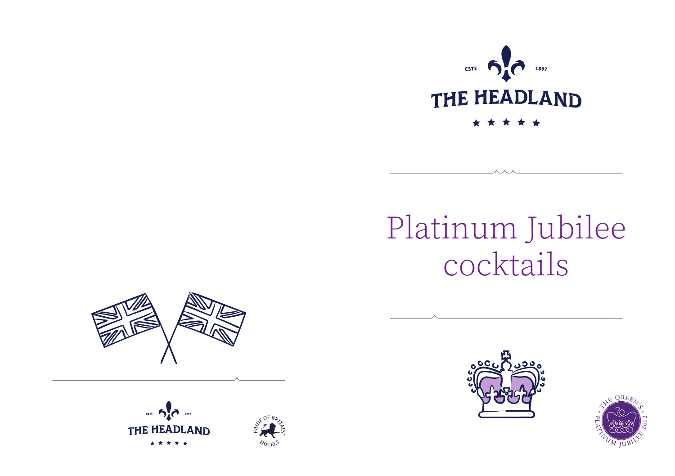

# Platinum Jubilee cocktails